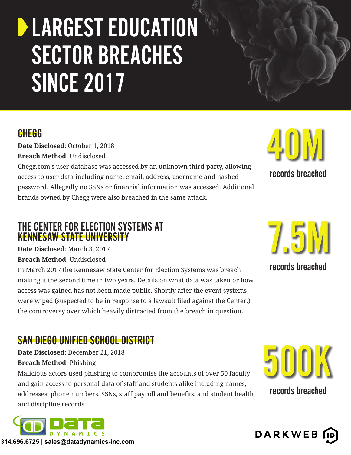## **DEARGEST EDUCATION** SECTOR BREACHES SINCE 2017

#### **CHEGG**

**Date Disclosed**: October 1, 2018 **Breach Method**: Undisclosed

Chegg.com's user database was accessed by an unknown third-party, allowing access to user data including name, email, address, username and hashed password. Allegedly no SSNs or financial information was accessed. Additional brands owned by Chegg were also breached in the same attack.

#### THE CENTER FOR ELECTION SYSTEMS AT KENNESAW STATE UNIVERSITY

**Date Disclosed**: March 3, 2017 **Breach Method**: Undisclosed

In March 2017 the Kennesaw State Center for Election Systems was breach making it the second time in two years. Details on what data was taken or how access was gained has not been made public. Shortly after the event systems were wiped (suspected to be in response to a lawsuit filed against the Center.) the controversy over which heavily distracted from the breach in question.

#### SAN DIEGO UNIFIED SCHOOL DISTRICT

**Date Disclosed:** December 21, 2018 **Breach Method**: Phishing

Malicious actors used phishing to compromise the accounts of over 50 faculty and gain access to personal data of staff and students alike including names, addresses, phone numbers, SSNs, staff payroll and benefits, and student health and discipline records.





7.5M records breached

records breached

40M

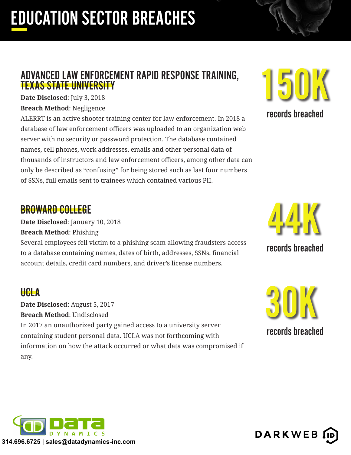## EDUCATION SECTOR BREACHES

#### ADVANCED LAW ENFORCEMENT RAPID RESPONSE TRAINING, TEXAS STATE UNIVERSITY

**Date Disclosed**: July 3, 2018 **Breach Method**: Negligence

ALERRT is an active shooter training center for law enforcement. In 2018 a database of law enforcement officers was uploaded to an organization web server with no security or password protection. The database contained names, cell phones, work addresses, emails and other personal data of thousands of instructors and law enforcement officers, among other data can only be described as "confusing" for being stored such as last four numbers of SSNs, full emails sent to trainees which contained various PII.

#### BROWARD COLLEGE

**Date Disclosed**: January 10, 2018 **Breach Method**: Phishing

Several employees fell victim to a phishing scam allowing fraudsters access to a database containing names, dates of birth, addresses, SSNs, financial account details, credit card numbers, and driver's license numbers.

#### UCLA

**Date Disclosed:** August 5, 2017 **Breach Method**: Undisclosed In 2017 an unauthorized party gained access to a university server containing student personal data. UCLA was not forthcoming with information on how the attack occurred or what data was compromised if any.



records breached



records breached



**DARKWEB** 

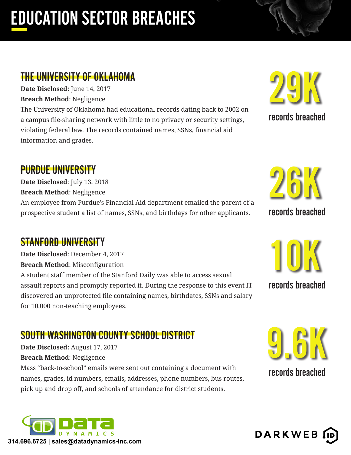## EDUCATION SECTOR BREACHES

#### THE UNIVERSITY OF OKLAHOMA

**Date Disclosed:** June 14, 2017 **Breach Method**: Negligence

The University of Oklahoma had educational records dating back to 2002 on a campus file-sharing network with little to no privacy or security settings, violating federal law. The records contained names, SSNs, financial aid information and grades.

29K

records breached

26K

records breached

#### PURDUE UNIVERSITY

**Date Disclosed**: July 13, 2018 **Breach Method**: Negligence An employee from Purdue's Financial Aid department emailed the parent of a prospective student a list of names, SSNs, and birthdays for other applicants.

#### STANFORD UNIVERSITY

**Date Disclosed**: December 4, 2017 **Breach Method**: Misconfiguration A student staff member of the Stanford Daily was able to access sexual assault reports and promptly reported it. During the response to this event IT discovered an unprotected file containing names, birthdates, SSNs and salary for 10,000 non-teaching employees.

# 10K

records breached

#### SOUTH WASHINGTON COUNTY SCHOOL DISTRICT

**Date Disclosed:** August 17, 2017 **Breach Method**: Negligence

Mass "back-to-school" emails were sent out containing a document with names, grades, id numbers, emails, addresses, phone numbers, bus routes, pick up and drop off, and schools of attendance for district students.